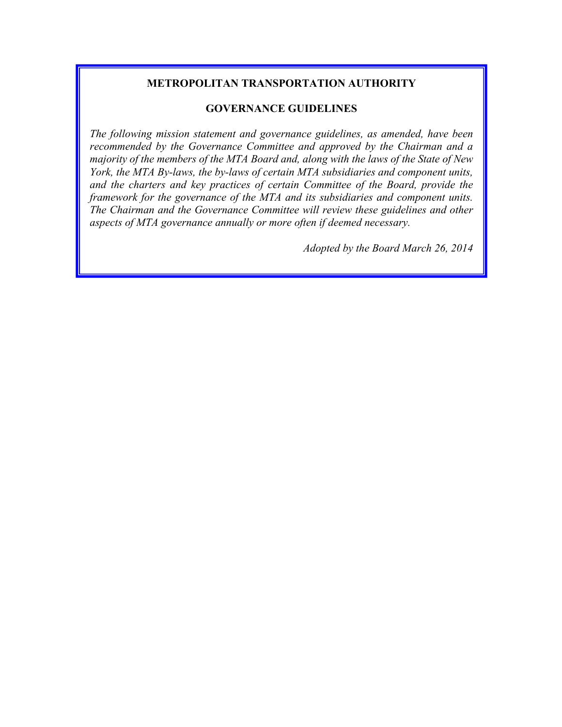# **METROPOLITAN TRANSPORTATION AUTHORITY**

#### **GOVERNANCE GUIDELINES**

*The following mission statement and governance guidelines, as amended, have been recommended by the Governance Committee and approved by the Chairman and a majority of the members of the MTA Board and, along with the laws of the State of New York, the MTA By-laws, the by-laws of certain MTA subsidiaries and component units, and the charters and key practices of certain Committee of the Board, provide the framework for the governance of the MTA and its subsidiaries and component units. The Chairman and the Governance Committee will review these guidelines and other aspects of MTA governance annually or more often if deemed necessary.*

*Adopted by the Board March 26, 2014*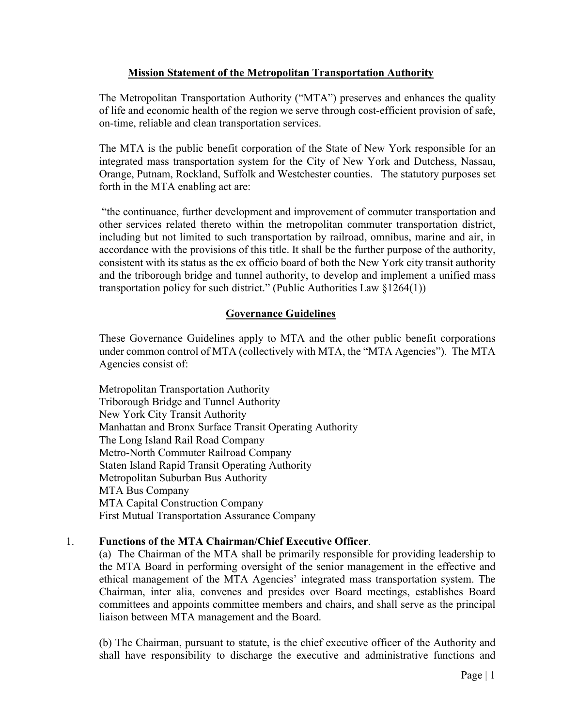# **Mission Statement of the Metropolitan Transportation Authority**

The Metropolitan Transportation Authority ("MTA") preserves and enhances the quality of life and economic health of the region we serve through cost-efficient provision of safe, on-time, reliable and clean transportation services.

The MTA is the public benefit corporation of the State of New York responsible for an integrated mass transportation system for the City of New York and Dutchess, Nassau, Orange, Putnam, Rockland, Suffolk and Westchester counties. The statutory purposes set forth in the MTA enabling act are:

"the continuance, further development and improvement of commuter transportation and other services related thereto within the metropolitan commuter transportation district, including but not limited to such transportation by railroad, omnibus, marine and air, in accordance with the provisions of this title. It shall be the further purpose of the authority, consistent with its status as the ex officio board of both the New York city transit authority and the triborough bridge and tunnel authority, to develop and implement a unified mass transportation policy for such district." (Public Authorities Law §1264(1))

# **Governance Guidelines**

These Governance Guidelines apply to MTA and the other public benefit corporations under common control of MTA (collectively with MTA, the "MTA Agencies"). The MTA Agencies consist of:

Metropolitan Transportation Authority Triborough Bridge and Tunnel Authority New York City Transit Authority Manhattan and Bronx Surface Transit Operating Authority The Long Island Rail Road Company Metro-North Commuter Railroad Company Staten Island Rapid Transit Operating Authority Metropolitan Suburban Bus Authority MTA Bus Company MTA Capital Construction Company First Mutual Transportation Assurance Company

#### 1. **Functions of the MTA Chairman/Chief Executive Officer**.

(a) The Chairman of the MTA shall be primarily responsible for providing leadership to the MTA Board in performing oversight of the senior management in the effective and ethical management of the MTA Agencies' integrated mass transportation system. The Chairman, inter alia, convenes and presides over Board meetings, establishes Board committees and appoints committee members and chairs, and shall serve as the principal liaison between MTA management and the Board.

(b) The Chairman, pursuant to statute, is the chief executive officer of the Authority and shall have responsibility to discharge the executive and administrative functions and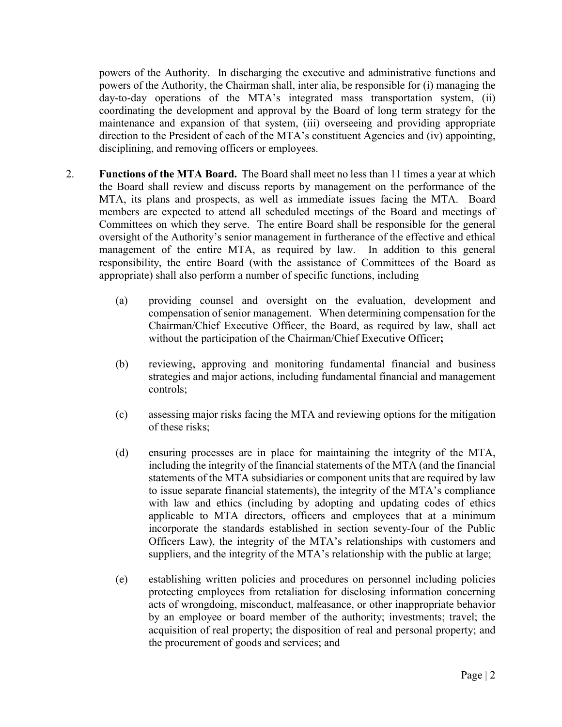powers of the Authority. In discharging the executive and administrative functions and powers of the Authority, the Chairman shall, inter alia, be responsible for (i) managing the day-to-day operations of the MTA's integrated mass transportation system, (ii) coordinating the development and approval by the Board of long term strategy for the maintenance and expansion of that system, (iii) overseeing and providing appropriate direction to the President of each of the MTA's constituent Agencies and (iv) appointing, disciplining, and removing officers or employees.

- 2. **Functions of the MTA Board.** The Board shall meet no less than 11 times a year at which the Board shall review and discuss reports by management on the performance of the MTA, its plans and prospects, as well as immediate issues facing the MTA. Board members are expected to attend all scheduled meetings of the Board and meetings of Committees on which they serve. The entire Board shall be responsible for the general oversight of the Authority's senior management in furtherance of the effective and ethical management of the entire MTA, as required by law. In addition to this general responsibility, the entire Board (with the assistance of Committees of the Board as appropriate) shall also perform a number of specific functions, including
	- (a) providing counsel and oversight on the evaluation, development and compensation of senior management. When determining compensation for the Chairman/Chief Executive Officer, the Board, as required by law, shall act without the participation of the Chairman/Chief Executive Officer**;**
	- (b) reviewing, approving and monitoring fundamental financial and business strategies and major actions, including fundamental financial and management controls;
	- (c) assessing major risks facing the MTA and reviewing options for the mitigation of these risks;
	- (d) ensuring processes are in place for maintaining the integrity of the MTA, including the integrity of the financial statements of the MTA (and the financial statements of the MTA subsidiaries or component units that are required by law to issue separate financial statements), the integrity of the MTA's compliance with law and ethics (including by adopting and updating codes of ethics applicable to MTA directors, officers and employees that at a minimum incorporate the standards established in section seventy-four of the Public Officers Law), the integrity of the MTA's relationships with customers and suppliers, and the integrity of the MTA's relationship with the public at large;
	- (e) establishing written policies and procedures on personnel including policies protecting employees from retaliation for disclosing information concerning acts of wrongdoing, misconduct, malfeasance, or other inappropriate behavior by an employee or board member of the authority; investments; travel; the acquisition of real property; the disposition of real and personal property; and the procurement of goods and services; and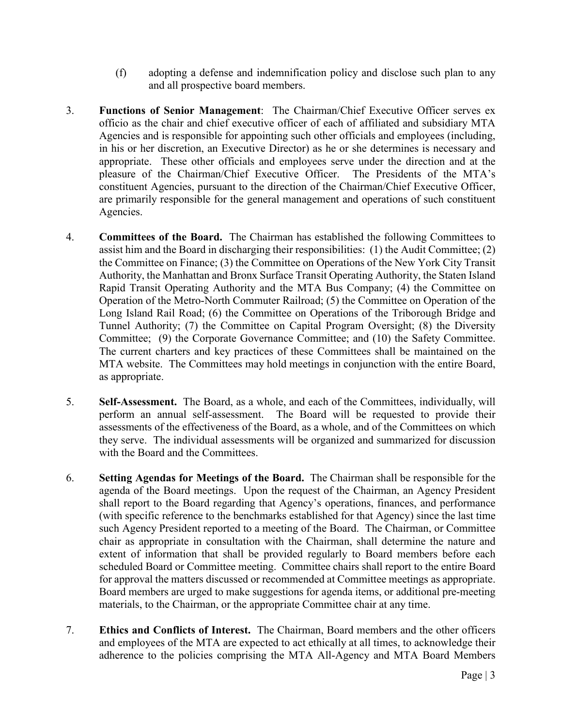- (f) adopting a defense and indemnification policy and disclose such plan to any and all prospective board members.
- 3. **Functions of Senior Management**: The Chairman/Chief Executive Officer serves ex officio as the chair and chief executive officer of each of affiliated and subsidiary MTA Agencies and is responsible for appointing such other officials and employees (including, in his or her discretion, an Executive Director) as he or she determines is necessary and appropriate. These other officials and employees serve under the direction and at the pleasure of the Chairman/Chief Executive Officer. The Presidents of the MTA's constituent Agencies, pursuant to the direction of the Chairman/Chief Executive Officer, are primarily responsible for the general management and operations of such constituent Agencies.
- 4. **Committees of the Board.** The Chairman has established the following Committees to assist him and the Board in discharging their responsibilities: (1) the Audit Committee; (2) the Committee on Finance; (3) the Committee on Operations of the New York City Transit Authority, the Manhattan and Bronx Surface Transit Operating Authority, the Staten Island Rapid Transit Operating Authority and the MTA Bus Company; (4) the Committee on Operation of the Metro-North Commuter Railroad; (5) the Committee on Operation of the Long Island Rail Road; (6) the Committee on Operations of the Triborough Bridge and Tunnel Authority; (7) the Committee on Capital Program Oversight; (8) the Diversity Committee; (9) the Corporate Governance Committee; and (10) the Safety Committee. The current charters and key practices of these Committees shall be maintained on the MTA website. The Committees may hold meetings in conjunction with the entire Board, as appropriate.
- 5. **Self-Assessment.** The Board, as a whole, and each of the Committees, individually, will perform an annual self-assessment. The Board will be requested to provide their assessments of the effectiveness of the Board, as a whole, and of the Committees on which they serve. The individual assessments will be organized and summarized for discussion with the Board and the Committees.
- 6. **Setting Agendas for Meetings of the Board.** The Chairman shall be responsible for the agenda of the Board meetings. Upon the request of the Chairman, an Agency President shall report to the Board regarding that Agency's operations, finances, and performance (with specific reference to the benchmarks established for that Agency) since the last time such Agency President reported to a meeting of the Board. The Chairman, or Committee chair as appropriate in consultation with the Chairman, shall determine the nature and extent of information that shall be provided regularly to Board members before each scheduled Board or Committee meeting. Committee chairs shall report to the entire Board for approval the matters discussed or recommended at Committee meetings as appropriate. Board members are urged to make suggestions for agenda items, or additional pre-meeting materials, to the Chairman, or the appropriate Committee chair at any time.
- 7. **Ethics and Conflicts of Interest.** The Chairman, Board members and the other officers and employees of the MTA are expected to act ethically at all times, to acknowledge their adherence to the policies comprising the MTA All-Agency and MTA Board Members